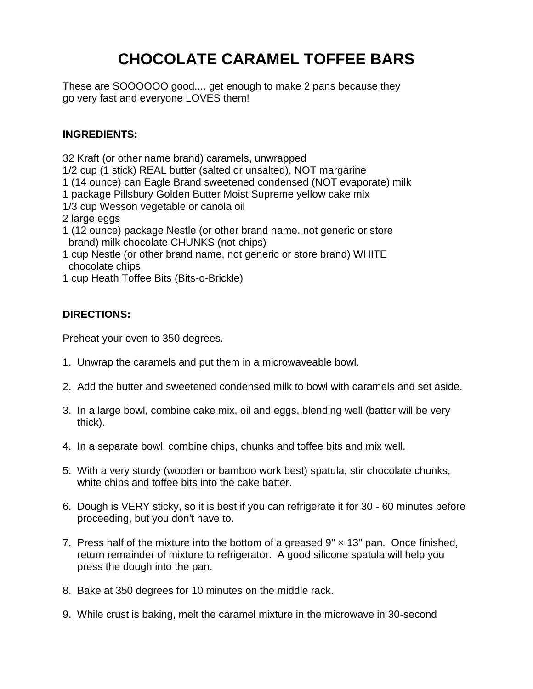## **CHOCOLATE CARAMEL TOFFEE BARS**

These are SOOOOOO good.... get enough to make 2 pans because they go very fast and everyone LOVES them!

## **INGREDIENTS:**

32 Kraft (or other name brand) caramels, unwrapped

1/2 cup (1 stick) REAL butter (salted or unsalted), NOT margarine

- 1 (14 ounce) can Eagle Brand sweetened condensed (NOT evaporate) milk
- 1 package Pillsbury Golden Butter Moist Supreme yellow cake mix
- 1/3 cup Wesson vegetable or canola oil
- 2 large eggs
- 1 (12 ounce) package Nestle (or other brand name, not generic or store brand) milk chocolate CHUNKS (not chips)
- 1 cup Nestle (or other brand name, not generic or store brand) WHITE chocolate chips
- 1 cup Heath Toffee Bits (Bits-o-Brickle)

## **DIRECTIONS:**

Preheat your oven to 350 degrees.

- 1. Unwrap the caramels and put them in a microwaveable bowl.
- 2. Add the butter and sweetened condensed milk to bowl with caramels and set aside.
- 3. In a large bowl, combine cake mix, oil and eggs, blending well (batter will be very thick).
- 4. In a separate bowl, combine chips, chunks and toffee bits and mix well.
- 5. With a very sturdy (wooden or bamboo work best) spatula, stir chocolate chunks, white chips and toffee bits into the cake batter.
- 6. Dough is VERY sticky, so it is best if you can refrigerate it for 30 60 minutes before proceeding, but you don't have to.
- 7. Press half of the mixture into the bottom of a greased  $9" \times 13"$  pan. Once finished, return remainder of mixture to refrigerator. A good silicone spatula will help you press the dough into the pan.
- 8. Bake at 350 degrees for 10 minutes on the middle rack.
- 9. While crust is baking, melt the caramel mixture in the microwave in 30-second